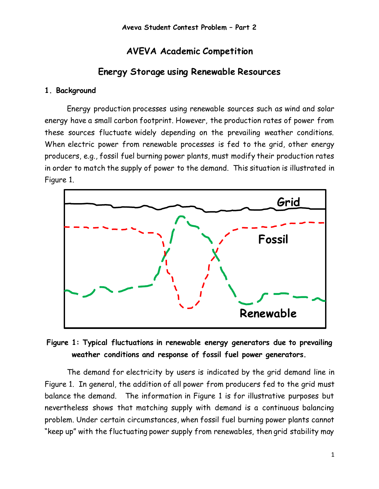# **AVEVA Academic Competition**

# **Energy Storage using Renewable Resources**

### **1. Background**

Energy production processes using renewable sources such as wind and solar energy have a small carbon footprint. However, the production rates of power from these sources fluctuate widely depending on the prevailing weather conditions. When electric power from renewable processes is fed to the grid, other energy producers, e.g., fossil fuel burning power plants, must modify their production rates in order to match the supply of power to the demand. This situation is illustrated in Figure 1.



## **Figure 1: Typical fluctuations in renewable energy generators due to prevailing weather conditions and response of fossil fuel power generators.**

The demand for electricity by users is indicated by the grid demand line in Figure 1. In general, the addition of all power from producers fed to the grid must balance the demand. The information in Figure 1 is for illustrative purposes but nevertheless shows that matching supply with demand is a continuous balancing problem. Under certain circumstances, when fossil fuel burning power plants cannot "keep up" with the fluctuating power supply from renewables, then grid stability may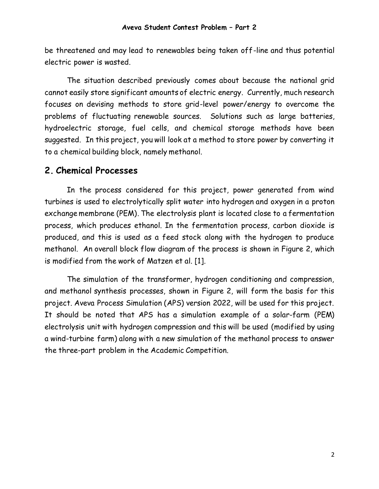be threatened and may lead to renewables being taken off-line and thus potential electric power is wasted.

The situation described previously comes about because the national grid cannot easily store significant amounts of electric energy. Currently, much research focuses on devising methods to store grid-level power/energy to overcome the problems of fluctuating renewable sources. Solutions such as large batteries, hydroelectric storage, fuel cells, and chemical storage methods have been suggested. In this project, you will look at a method to store power by converting it to a chemical building block, namely methanol.

### **2. Chemical Processes**

In the process considered for this project, power generated from wind turbines is used to electrolytically split water into hydrogen and oxygen in a proton exchange membrane (PEM). The electrolysis plant is located close to a fermentation process, which produces ethanol. In the fermentation process, carbon dioxide is produced, and this is used as a feed stock along with the hydrogen to produce methanol. An overall block flow diagram of the process is shown in Figure 2, which is modified from the work of Matzen et al. [1].

The simulation of the transformer, hydrogen conditioning and compression, and methanol synthesis processes, shown in Figure 2, will form the basis for this project. Aveva Process Simulation (APS) version 2022, will be used for this project. It should be noted that APS has a simulation example of a solar-farm (PEM) electrolysis unit with hydrogen compression and this will be used (modified by using a wind-turbine farm) along with a new simulation of the methanol process to answer the three-part problem in the Academic Competition.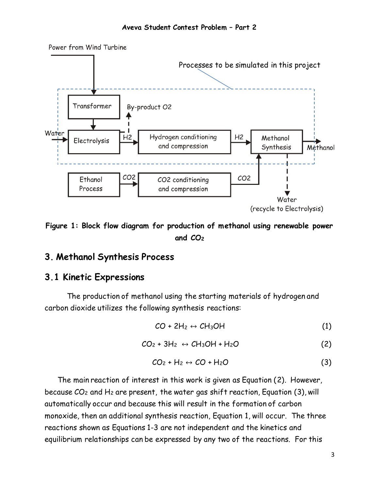

**Figure 1: Block flow diagram for production of methanol using renewable power and CO<sup>2</sup>**

### **3. Methanol Synthesis Process**

### **3.1 Kinetic Expressions**

The production of methanol using the starting materials of hydrogen and carbon dioxide utilizes the following synthesis reactions:

$$
CO + 2H_2 \leftrightarrow CH_3OH \tag{1}
$$

$$
CO_2 + 3H_2 \leftrightarrow CH_3OH + H_2O \tag{2}
$$

$$
CO_2 + H_2 \leftrightarrow CO + H_2O \tag{3}
$$

The main reaction of interest in this work is given as Equation (2). However, because  $CO<sub>2</sub>$  and H<sub>2</sub> are present, the water gas shift reaction, Equation (3), will automatically occur and because this will result in the formation of carbon monoxide, then an additional synthesis reaction, Equation 1, will occur. The three reactions shown as Equations 1-3 are not independent and the kinetics and equilibrium relationships can be expressed by any two of the reactions. For this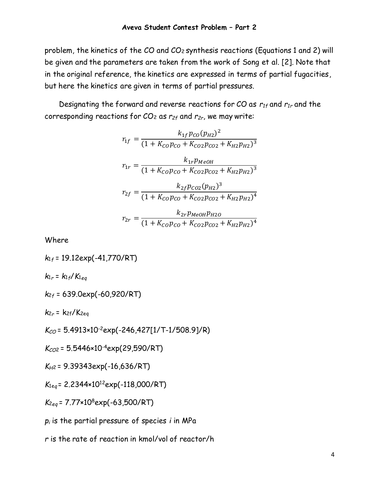problem, the kinetics of the CO and CO<sup>2</sup> synthesis reactions (Equations 1 and 2) will be given and the parameters are taken from the work of Song et al. [2]. Note that in the original reference, the kinetics are expressed in terms of partial fugacities, but here the kinetics are given in terms of partial pressures.

Designating the forward and reverse reactions for CO as *r1f* and *r1r* and the corresponding reactions for CO<sup>2</sup> as *r2f* and *r2r*, we may write:

$$
r_{1f} = \frac{k_{1f}p_{CO}(p_{H2})^2}{(1 + K_{CO}p_{CO} + K_{CO2}p_{CO2} + K_{H2}p_{H2})^3}
$$

$$
r_{1r} = \frac{k_{1r}p_{MeOH}}{(1 + K_{CO}p_{CO} + K_{CO2}p_{CO2} + K_{H2}p_{H2})^3}
$$

$$
r_{2f} = \frac{k_{2f}p_{CO2}(p_{H2})^3}{(1 + K_{CO}p_{CO} + K_{CO2}p_{CO2} + K_{H2}p_{H2})^4}
$$

$$
r_{2r} = \frac{k_{2r}p_{MeOH}p_{H2O}}{(1 + K_{CO}p_{CO} + K_{CO2}p_{CO2} + K_{H2}p_{H2})^4}
$$

Where

*k*<sup>1</sup>*<sup>f</sup>* = 19.12exp(-41,770/RT)  $k_{1r} = k_{1f}/K_{1eq}$ *k*<sup>2</sup>*<sup>f</sup>* = 639.0exp(-60,920/RT)  $k_{2r}$  =  $k_{2f}/K_{2eq}$ *KCO* = 5.4913×10-2exp(-246,427[1/T-1/508.9]/R)

*KCO*<sup>2</sup>= 5.5446×10-4exp(29,590/RT)

$$
K_{H2} = 9.39343 \exp(-16.636/RT)
$$

*K*1e*<sup>q</sup>* = 2.2344×10<sup>12</sup>exp(-118,000/RT)

*K*<sup>2</sup>*eq* = 7.77×10<sup>8</sup>exp(-63,500/RT)

*p<sup>i</sup>* is the partial pressure of species *i* in MPa

*r* is the rate of reaction in kmol/vol of reactor/h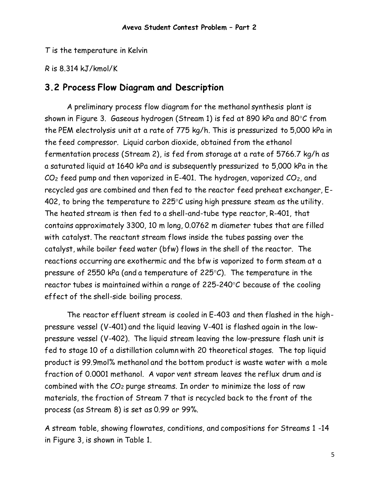*T* is the temperature in Kelvin

*R* is 8.314 kJ/kmol/K

#### **3.2 Process Flow Diagram and Description**

A preliminary process flow diagram for the methanol synthesis plant is shown in Figure 3. Gaseous hydrogen (Stream 1) is fed at 890 kPa and 80°C from the PEM electrolysis unit at a rate of 775 kg/h. This is pressurized to 5,000 kPa in the feed compressor. Liquid carbon dioxide, obtained from the ethanol fermentation process (Stream 2), is fed from storage at a rate of 5766.7 kg/h as a saturated liquid at 1640 kPa and is subsequently pressurized to 5,000 kPa in the  $CO<sub>2</sub>$  feed pump and then vaporized in E-401. The hydrogen, vaporized  $CO<sub>2</sub>$ , and recycled gas are combined and then fed to the reactor feed preheat exchanger, E-402, to bring the temperature to  $225^{\circ}$ C using high pressure steam as the utility. The heated stream is then fed to a shell-and-tube type reactor, R-401, that contains approximately 3300, 10 m long, 0.0762 m diameter tubes that are filled with catalyst. The reactant stream flows inside the tubes passing over the catalyst, while boiler feed water (bfw) flows in the shell of the reactor. The reactions occurring are exothermic and the bfw is vaporized to form steam at a pressure of 2550 kPa (and a temperature of 225 $\degree$ C). The temperature in the reactor tubes is maintained within a range of  $225-240^{\circ}C$  because of the cooling effect of the shell-side boiling process.

The reactor effluent stream is cooled in E-403 and then flashed in the highpressure vessel (V-401) and the liquid leaving V-401 is flashed again in the lowpressure vessel (V-402). The liquid stream leaving the low-pressure flash unit is fed to stage 10 of a distillation column with 20 theoretical stages. The top liquid product is 99.9mol% methanol and the bottom product is waste water with a mole fraction of 0.0001 methanol. A vapor vent stream leaves the reflux drum and is combined with the  $CO<sub>2</sub>$  purge streams. In order to minimize the loss of raw materials, the fraction of Stream 7 that is recycled back to the front of the process (as Stream 8) is set as 0.99 or 99%.

A stream table, showing flowrates, conditions, and compositions for Streams 1 -14 in Figure 3, is shown in Table 1.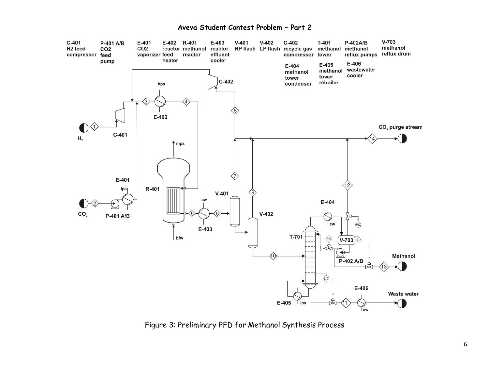#### **Aveva Student Contest Problem – Part 2**



Figure 3: Preliminary PFD for Methanol Synthesis Process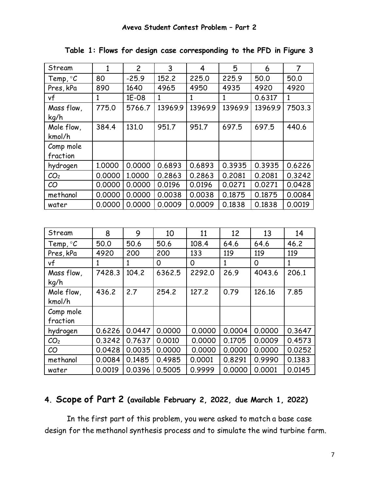| Stream              | 1            | $\overline{c}$ | 3       | 4       | 5            | 6       | $\overline{7}$ |
|---------------------|--------------|----------------|---------|---------|--------------|---------|----------------|
| Temp, $\mathcal{C}$ | 80           | $-25.9$        | 152.2   | 225.0   | 225.9        | 50.0    | 50.0           |
| Pres, kPa           | 890          | 1640           | 4965    | 4950    | 4935         | 4920    | 4920           |
| vf                  | $\mathbf{1}$ | 1E-08          | 1       | 1       | $\mathbf{1}$ | 0.6317  | $\mathbf{1}$   |
| Mass flow,          | 775.0        | 5766.7         | 13969.9 | 13969.9 | 13969.9      | 13969.9 | 7503.3         |
| kq/h                |              |                |         |         |              |         |                |
| Mole flow,          | 384.4        | 131.0          | 951.7   | 951.7   | 697.5        | 697.5   | 440.6          |
| kmol/h              |              |                |         |         |              |         |                |
| Comp mole           |              |                |         |         |              |         |                |
| fraction            |              |                |         |         |              |         |                |
| hydrogen            | 1,0000       | 0.0000         | 0.6893  | 0.6893  | 0.3935       | 0.3935  | 0.6226         |
| CO <sub>2</sub>     | 0.0000       | 1.0000         | 0.2863  | 0.2863  | 0.2081       | 0.2081  | 0.3242         |
| CO                  | 0.0000       | 0.0000         | 0.0196  | 0.0196  | 0.0271       | 0.0271  | 0.0428         |
| methanol            | 0.0000       | 0.0000         | 0.0038  | 0.0038  | 0.1875       | 0.1875  | 0.0084         |
| water               | 0.0000       | 0.0000         | 0.0009  | 0.0009  | 0.1838       | 0.1838  | 0.0019         |

**Table 1: Flows for design case corresponding to the PFD in Figure 3**

| Stream          | 8      | 9      | 10     | 11     | 12           | 13     | 14     |
|-----------------|--------|--------|--------|--------|--------------|--------|--------|
| Temp, $\circ C$ | 50.0   | 50.6   | 50.6   | 108.4  | 64.6         | 64.6   | 46.2   |
| Pres, kPa       | 4920   | 200    | 200    | 133    | 119          | 119    | 119    |
| vf              | 1      | 1      | 0      | 0      | $\mathbf{1}$ | 0      | 1      |
| Mass flow,      | 7428.3 | 104.2  | 6362.5 | 2292.0 | 26.9         | 4043.6 | 206.1  |
| kg/h            |        |        |        |        |              |        |        |
| Mole flow,      | 436.2  | 2.7    | 254.2  | 127.2  | 0.79         | 126.16 | 7.85   |
| kmol/h          |        |        |        |        |              |        |        |
| Comp mole       |        |        |        |        |              |        |        |
| fraction        |        |        |        |        |              |        |        |
| hydrogen        | 0.6226 | 0.0447 | 0.0000 | 0.0000 | 0.0004       | 0.0000 | 0.3647 |
| CO <sub>2</sub> | 0.3242 | 0.7637 | 0.0010 | 0.0000 | 0.1705       | 0.0009 | 0.4573 |
| CO              | 0.0428 | 0.0035 | 0.0000 | 0.0000 | 0.0000       | 0.0000 | 0.0252 |
| methanol        | 0.0084 | 0.1485 | 0.4985 | 0.0001 | 0.8291       | 0.9990 | 0.1383 |
| water           | 0.0019 | 0.0396 | 0.5005 | 0.9999 | 0.0000       | 0.0001 | 0.0145 |

## **4. Scope of Part 2 (available February 2, 2022, due March 1, 2022)**

In the first part of this problem, you were asked to match a base case design for the methanol synthesis process and to simulate the wind turbine farm.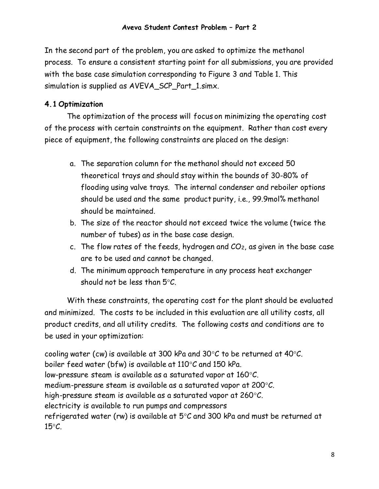In the second part of the problem, you are asked to optimize the methanol process. To ensure a consistent starting point for all submissions, you are provided with the base case simulation corresponding to Figure 3 and Table 1. This simulation is supplied as AVEVA\_SCP\_Part\_1.simx.

#### **4.1 Optimization**

The optimization of the process will focus on minimizing the operating cost of the process with certain constraints on the equipment. Rather than cost every piece of equipment, the following constraints are placed on the design:

- a. The separation column for the methanol should not exceed 50 theoretical trays and should stay within the bounds of 30-80% of flooding using valve trays. The internal condenser and reboiler options should be used and the same product purity, i.e., 99.9mol% methanol should be maintained.
- b. The size of the reactor should not exceed twice the volume (twice the number of tubes) as in the base case design.
- c. The flow rates of the feeds, hydrogen and  $CO<sub>2</sub>$ , as given in the base case are to be used and cannot be changed.
- d. The minimum approach temperature in any process heat exchanger should not be less than  $5^{\circ}$ C.

With these constraints, the operating cost for the plant should be evaluated and minimized. The costs to be included in this evaluation are all utility costs, all product credits, and all utility credits. The following costs and conditions are to be used in your optimization:

cooling water (cw) is available at 300 kPa and 30 $\degree$ C to be returned at 40 $\degree$ C. boiler feed water (bfw) is available at  $110^{\circ}$ C and 150 kPa. low-pressure steam is available as a saturated vapor at  $160^{\circ}$ C. medium-pressure steam is available as a saturated vapor at 200 $\mathrm{C}$ . high-pressure steam is available as a saturated vapor at 260 $\mathrm{C}$ . electricity is available to run pumps and compressors refrigerated water (rw) is available at  $5^{\circ}$ C and 300 kPa and must be returned at  $15^{\circ}C$ .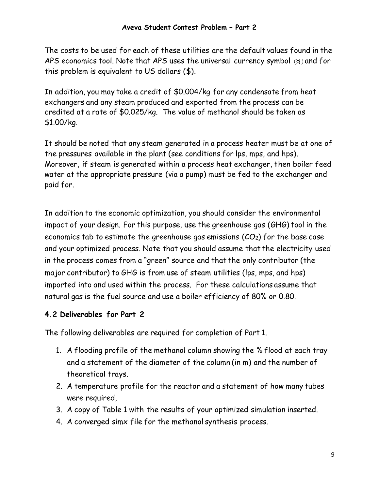The costs to be used for each of these utilities are the default values found in the APS economics tool. Note that APS uses the universal currency symbol  $(x)$  and for this problem is equivalent to US dollars (\$).

In addition, you may take a credit of \$0.004/kg for any condensate from heat exchangers and any steam produced and exported from the process can be credited at a rate of \$0.025/kg. The value of methanol should be taken as \$1.00/kg.

It should be noted that any steam generated in a process heater must be at one of the pressures available in the plant (see conditions for lps, mps, and hps). Moreover, if steam is generated within a process heat exchanger, then boiler feed water at the appropriate pressure (via a pump) must be fed to the exchanger and paid for.

In addition to the economic optimization, you should consider the environmental impact of your design. For this purpose, use the greenhouse gas (GHG) tool in the economics tab to estimate the greenhouse gas emissions  $(CO<sub>2</sub>)$  for the base case and your optimized process. Note that you should assume that the electricity used in the process comes from a "green" source and that the only contributor (the major contributor) to GHG is from use of steam utilities (lps, mps, and hps) imported into and used within the process. For these calculations assume that natural gas is the fuel source and use a boiler efficiency of 80% or 0.80.

### **4.2 Deliverables for Part 2**

The following deliverables are required for completion of Part 1.

- 1. A flooding profile of the methanol column showing the % flood at each tray and a statement of the diameter of the column (in m) and the number of theoretical trays.
- 2. A temperature profile for the reactor and a statement of how many tubes were required,
- 3. A copy of Table 1 with the results of your optimized simulation inserted.
- 4. A converged simx file for the methanol synthesis process.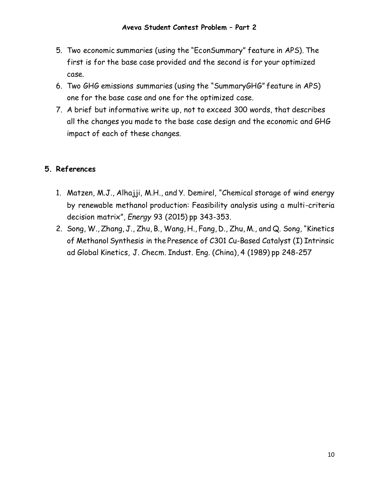- 5. Two economic summaries (using the "EconSummary" feature in APS). The first is for the base case provided and the second is for your optimized case.
- 6. Two GHG emissions summaries (using the "SummaryGHG" feature in APS) one for the base case and one for the optimized case.
- 7. A brief but informative write up, not to exceed 300 words, that describes all the changes you made to the base case design and the economic and GHG impact of each of these changes.

#### **5. References**

- 1. Matzen, M.J., Alhajji, M.H., and Y. Demirel, "Chemical storage of wind energy by renewable methanol production: Feasibility analysis using a multi-criteria decision matrix", *Energy* 93 (2015) pp 343-353.
- 2. Song, W., Zhang, J., Zhu, B., Wang, H., Fang, D., Zhu, M., and Q. Song, "Kinetics of Methanol Synthesis in the Presence of C301 Cu-Based Catalyst (I) Intrinsic ad Global Kinetics, J. Checm. Indust. Eng. (China), 4 (1989) pp 248-257